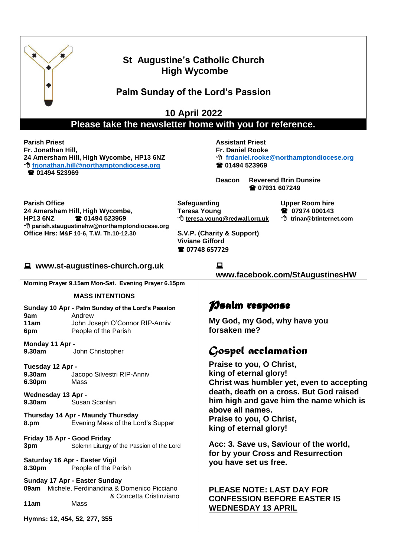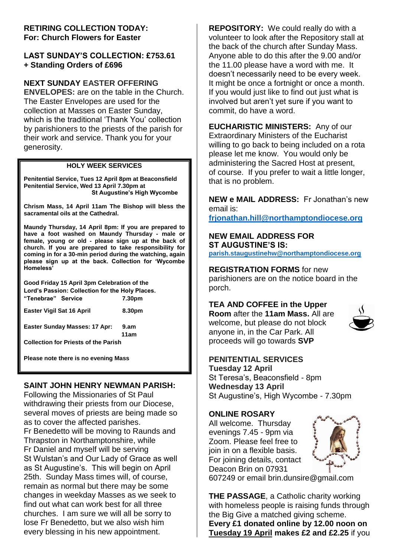#### **RETIRING COLLECTION TODAY: For: Church Flowers for Easter**

# **LAST SUNDAY'S COLLECTION: £753.61 + Standing Orders of £696**

# **NEXT SUNDAY EASTER OFFERING**

**ENVELOPES:** are on the table in the Church. The Easter Envelopes are used for the collection at Masses on Easter Sunday, which is the traditional 'Thank You' collection by parishioners to the priests of the parish for their work and service. Thank you for your generosity.

#### **HOLY WEEK SERVICES**

**Penitential Service, Tues 12 April 8pm at Beaconsfield Penitential Service, Wed 13 April 7.30pm at St Augustine's High Wycombe**

**Chrism Mass, 14 April 11am The Bishop will bless the sacramental oils at the Cathedral.** 

**Maundy Thursday, 14 April 8pm: If you are prepared to have a foot washed on Maundy Thursday - male or female, young or old - please sign up at the back of church. If you are prepared to take responsibility for coming in for a 30-min period during the watching, again please sign up at the back. Collection for 'Wycombe Homeless'**

**Good Friday 15 April 3pm Celebration of the Lord's Passion: Collection for the Holy Places. "Tenebrae" Service 7.30pm**

**Easter Vigil Sat 16 April 8.30pm**

**Easter Sunday Masses: 17 Apr: 9.am 11am**

**Collection for Priests of the Parish**

**Please note there is no evening Mass**

#### **SAINT JOHN HENRY NEWMAN PARISH:**

Following the Missionaries of St Paul withdrawing their priests from our Diocese, several moves of priests are being made so as to cover the affected parishes. Fr Benedetto will be moving to Raunds and Thrapston in Northamptonshire, while Fr Daniel and myself will be serving St Wulstan's and Our Lady of Grace as well as St Augustine's. This will begin on April 25th. Sunday Mass times will, of course, remain as normal but there may be some changes in weekday Masses as we seek to find out what can work best for all three churches. I am sure we will all be sorry to lose Fr Benedetto, but we also wish him every blessing in his new appointment.

**REPOSITORY:** We could really do with a volunteer to look after the Repository stall at the back of the church after Sunday Mass. Anyone able to do this after the 9.00 and/or the 11.00 please have a word with me. It doesn't necessarily need to be every week. It might be once a fortnight or once a month. If you would just like to find out just what is involved but aren't yet sure if you want to commit, do have a word.

**EUCHARISTIC MINISTERS:** Any of our Extraordinary Ministers of the Eucharist willing to go back to being included on a rota please let me know. You would only be administering the Sacred Host at present, of course. If you prefer to wait a little longer, that is no problem.

**NEW e MAIL ADDRESS:** Fr Jonathan's new email is:

**[frjonathan.hill@northamptondiocese.org](mailto:frjonathan.hill@northamptondiocese.org)**

**NEW EMAIL ADDRESS FOR ST AUGUSTINE'S IS: [parish.staugustinehw@northamptondiocese.org](mailto:parish.staugustinehw@northamptondiocese.org)**

**REGISTRATION FORMS** for new parishioners are on the notice board in the porch.

#### **TEA AND COFFEE in the Upper**

**Room** after the **11am Mass.** All are welcome, but please do not block anyone in, in the Car Park. All proceeds will go towards **SVP**



#### **PENITENTIAL SERVICES**

**Tuesday 12 April**  St Teresa's, Beaconsfield - 8pm **Wednesday 13 April** St Augustine's, High Wycombe - 7.30pm

#### **ONLINE ROSARY**

All welcome. Thursday evenings 7.45 - 9pm via Zoom. Please feel free to join in on a flexible basis. For joining details, contact Deacon Brin on 07931



607249 or email brin.dunsire@gmail.com

**THE PASSAGE**, a Catholic charity working with homeless people is raising funds through the Big Give a matched giving scheme. **Every £1 donated online by 12.00 noon on Tuesday 19 April makes £2 and £2.25** if you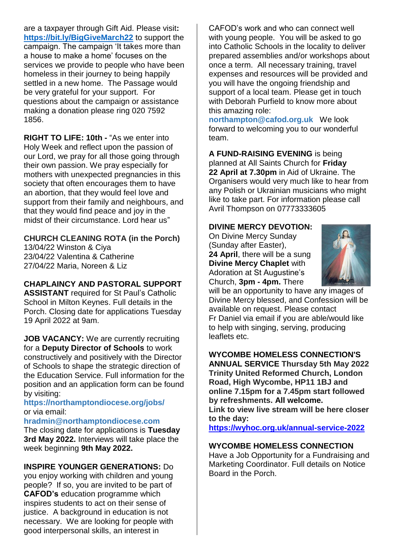are a taxpayer through Gift Aid. Please visit**: <https://bit.ly/BigGiveMarch22>** to support the campaign. The campaign 'It takes more than a house to make a home' focuses on the services we provide to people who have been homeless in their journey to being happily settled in a new home. The Passage would be very grateful for your support. For questions about the campaign or assistance making a donation please ring 020 7592 1856.

**RIGHT TO LIFE: 10th -** "As we enter into Holy Week and reflect upon the passion of our Lord, we pray for all those going through their own passion. We pray especially for mothers with unexpected pregnancies in this society that often encourages them to have an abortion, that they would feel love and support from their family and neighbours, and that they would find peace and joy in the midst of their circumstance. Lord hear us"

## **CHURCH CLEANING ROTA (in the Porch)**

13/04/22 Winston & Ciya 23/04/22 Valentina & Catherine 27/04/22 Maria, Noreen & Liz

**CHAPLAINCY AND PASTORAL SUPPORT ASSISTANT** required for St Paul's Catholic School in Milton Keynes. Full details in the Porch. Closing date for applications Tuesday 19 April 2022 at 9am.

**JOB VACANCY:** We are currently recruiting for a **Deputy Director of Schools** to work constructively and positively with the Director of Schools to shape the strategic direction of the Education Service. Full information for the position and an application form can be found by visiting:

#### **[https://northamptondiocese.org/jobs/](https://emea01.safelinks.protection.outlook.com/?url=https%3A%2F%2Fnorthamptondiocese.org%2Fjobs%2F&data=04%7C01%7C%7C3c8cb6ef8d874ea214ae08d8ea14034b%7C84df9e7fe9f640afb435aaaaaaaaaaaa%7C1%7C0%7C637516718967236045%7CUnknown%7CTWFpbGZsb3d8eyJWIjoiMC4wLjAwMDAiLCJQIjoiV2luMzIiLCJBTiI6Ik1haWwiLCJXVCI6Mn0%3D%7C1000&sdata=QGTAIavdDQfrKzzWQs6wOGS2ccHTzyir1Qjdth%2BbhdI%3D&reserved=0)** or via email:

**[hradmin@northamptondiocese.com](mailto:hradmin@northamptondiocese.com)**

The closing date for applications is **Tuesday 3rd May 2022.** Interviews will take place the week beginning **9th May 2022.**

# **INSPIRE YOUNGER GENERATIONS:** Do

you enjoy working with children and young people? If so, you are invited to be part of **CAFOD's** education programme which inspires students to act on their sense of justice. A background in education is not necessary. We are looking for people with good interpersonal skills, an interest in

CAFOD's work and who can connect well with young people. You will be asked to go into Catholic Schools in the locality to deliver prepared assemblies and/or workshops about once a term. All necessary training, travel expenses and resources will be provided and you will have the ongoing friendship and support of a local team. Please get in touch with Deborah Purfield to know more about this amazing role:

**[northampton@cafod.org.uk](mailto:northampton@cafod.org.uk)** We look forward to welcoming you to our wonderful team.

**A FUND-RAISING EVENING** is being planned at All Saints Church for **Friday 22 April at 7.30pm** in Aid of Ukraine. The Organisers would very much like to hear from any Polish or Ukrainian musicians who might like to take part. For information please call Avril Thompson on 07773333605

## **DIVINE MERCY DEVOTION:**

On Divine Mercy Sunday (Sunday after Easter), **24 April**, there will be a sung **Divine Mercy Chaplet** with Adoration at St Augustine's Church, **3pm - 4pm.** There



will be an opportunity to have any images of Divine Mercy blessed, and Confession will be available on request. Please contact Fr Daniel via email if you are able/would like to help with singing, serving, producing leaflets etc.

**WYCOMBE HOMELESS CONNECTION'S ANNUAL SERVICE Thursday 5th May 2022 Trinity United Reformed Church, London Road, High Wycombe, HP11 1BJ and online 7.15pm for a 7.45pm start followed by refreshments. All welcome. Link to view live stream will be here closer to the day:**

**<https://wyhoc.org.uk/annual-service-2022>**

# **WYCOMBE HOMELESS CONNECTION**

Have a Job Opportunity for a Fundraising and Marketing Coordinator. Full details on Notice Board in the Porch.